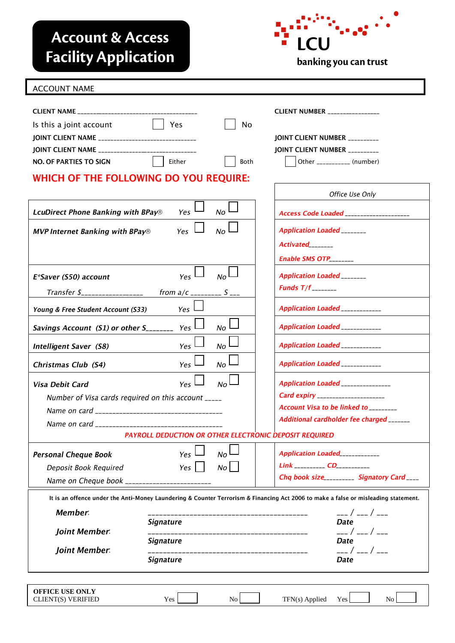## **Account & Access Facility Application**



## ACCOUNT NAME

|                                                                                                                                    |                             |                                     | <b>CLIENT NUMBER</b> ________________       |
|------------------------------------------------------------------------------------------------------------------------------------|-----------------------------|-------------------------------------|---------------------------------------------|
| Is this a joint account                                                                                                            | Yes                         | No                                  |                                             |
|                                                                                                                                    |                             |                                     | JOINT CLIENT NUMBER ________                |
| JOINT CLIENT NAME _________________________________                                                                                |                             |                                     | JOINT CLIENT NUMBER _________               |
| NO. OF PARTIES TO SIGN                                                                                                             | Either                      | Both                                | Other ___________ (number)                  |
| WHICH OF THE FOLLOWING DO YOU REQUIRE:                                                                                             |                             |                                     |                                             |
|                                                                                                                                    |                             |                                     | Office Use Only                             |
| <b>LcuDirect Phone Banking with BPay®</b>                                                                                          | Yes                         | No                                  | Access Code Loaded ____________________     |
| <b>MVP Internet Banking with BPay®</b>                                                                                             | Yes                         | No                                  | <b>Application Loaded</b> ________          |
|                                                                                                                                    |                             |                                     | $Actual$ <sub>________</sub>                |
|                                                                                                                                    |                             |                                     | Enable SMS $OTP$ <sub>________</sub>        |
| E*Saver (S50) account                                                                                                              | Yes <sup>1</sup>            | No                                  | <b>Application Loaded</b> ________          |
| Transfer 1                                                                                                                         | from $a/c$ __________ S ___ |                                     | Funds $T/f$ <sub>________</sub>             |
| Young & Free Student Account (S33)                                                                                                 | Yes                         |                                     | Application Loaded ____________             |
| Savings Account (S1) or other $S_{\text{2}}$ <sub>2</sub> $\text{2}}$ Yes                                                          |                             | No                                  | Application Loaded ____________             |
| <b>Intelligent Saver (S8)</b>                                                                                                      | Yes <sup>1</sup>            | No                                  | Application Loaded ____________             |
| Christmas Club (S4)                                                                                                                | Yes                         | No                                  | Application Loaded ____________             |
| Visa Debit Card                                                                                                                    | <b>Yes</b>                  | No                                  | Application Loaded _______________          |
| Number of Visa cards required on this account _____                                                                                |                             |                                     | <b>Card expiry</b> ______________________   |
|                                                                                                                                    |                             |                                     | Account Visa to be linked to ________       |
|                                                                                                                                    |                             |                                     | Additional cardholder fee charged _______   |
| PAYROLL DEDUCTION OR OTHER ELECTRONIC DEPOSIT REQUIRED                                                                             |                             |                                     |                                             |
| <b>Personal Cheque Book</b>                                                                                                        | Yes                         | No                                  | Application Loaded____________              |
| Deposit Book Required                                                                                                              | Yes                         | No                                  | Link ___________ CD__________               |
| Name on Cheque book ____________________                                                                                           |                             |                                     | Chq book size__________ Signatory Card ____ |
| It is an offence under the Anti-Money Laundering & Counter Terrorism & Financing Act 2006 to make a false or misleading statement. |                             |                                     |                                             |
| Member:                                                                                                                            |                             |                                     |                                             |
|                                                                                                                                    | <i><b>Signature</b></i>     | ----------------------------------  | ___ / ___ / ___<br><b>Date</b>              |
| Joint Member                                                                                                                       |                             | ___________________________________ | ___ / ___ / ___                             |
| <b>Joint Member.</b>                                                                                                               | <b>Signature</b>            |                                     | <b>Date</b>                                 |
|                                                                                                                                    | <b>Signature</b>            | __________________________________  | <b>Date</b>                                 |
|                                                                                                                                    |                             |                                     |                                             |
| <b>OFFICE USE ONLY</b><br>CLIENT(S) VERIFIED                                                                                       | Yes                         | No                                  | TFN(s) Applied<br>No<br>Yes                 |